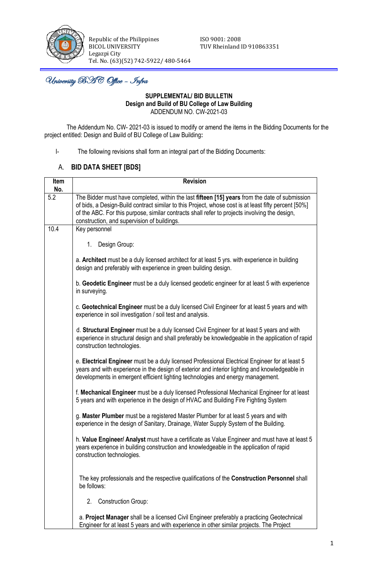

Republic of the Philippines **ISO** 9001: 2008 BICOL UNIVERSITY TUV Rheinland ID 910863351 Legazpi City Tel. No. (63)(52) 742-5922/ 480-5464

University BAC Office – Infra

## **SUPPLEMENTAL/ BID BULLETIN Design and Build of BU College of Law Building** ADDENDUM NO. CW-2021-03

The Addendum No. CW- 2021-03 is issued to modify or amend the items in the Bidding Documents for the project entitled: Design and Build of BU College of Law Building**:**

I- The following revisions shall form an integral part of the Bidding Documents:

## A. **BID DATA SHEET [BDS]**

| Item | <b>Revision</b>                                                                                                                                                                                                                                                                                                                                        |
|------|--------------------------------------------------------------------------------------------------------------------------------------------------------------------------------------------------------------------------------------------------------------------------------------------------------------------------------------------------------|
| No.  |                                                                                                                                                                                                                                                                                                                                                        |
| 5.2  | The Bidder must have completed, within the last fifteen [15] years from the date of submission<br>of bids, a Design-Build contract similar to this Project, whose cost is at least fifty percent [50%]<br>of the ABC. For this purpose, similar contracts shall refer to projects involving the design,<br>construction, and supervision of buildings. |
| 10.4 | Key personnel                                                                                                                                                                                                                                                                                                                                          |
|      | Design Group:<br>1.                                                                                                                                                                                                                                                                                                                                    |
|      | a. Architect must be a duly licensed architect for at least 5 yrs. with experience in building<br>design and preferably with experience in green building design.                                                                                                                                                                                      |
|      | b. Geodetic Engineer must be a duly licensed geodetic engineer for at least 5 with experience<br>in surveying.                                                                                                                                                                                                                                         |
|      | c. Geotechnical Engineer must be a duly licensed Civil Engineer for at least 5 years and with<br>experience in soil investigation / soil test and analysis.                                                                                                                                                                                            |
|      | d. Structural Engineer must be a duly licensed Civil Engineer for at least 5 years and with<br>experience in structural design and shall preferably be knowledgeable in the application of rapid<br>construction technologies.                                                                                                                         |
|      | e. Electrical Engineer must be a duly licensed Professional Electrical Engineer for at least 5<br>years and with experience in the design of exterior and interior lighting and knowledgeable in<br>developments in emergent efficient lighting technologies and energy management.                                                                    |
|      | f. Mechanical Engineer must be a duly licensed Professional Mechanical Engineer for at least<br>5 years and with experience in the design of HVAC and Building Fire Fighting System                                                                                                                                                                    |
|      | g. Master Plumber must be a registered Master Plumber for at least 5 years and with<br>experience in the design of Sanitary, Drainage, Water Supply System of the Building.                                                                                                                                                                            |
|      | h. Value Engineer/ Analyst must have a certificate as Value Engineer and must have at least 5<br>years experience in building construction and knowledgeable in the application of rapid<br>construction technologies.                                                                                                                                 |
|      | The key professionals and the respective qualifications of the Construction Personnel shall<br>be follows:                                                                                                                                                                                                                                             |
|      | <b>Construction Group:</b><br>2.                                                                                                                                                                                                                                                                                                                       |
|      | a. Project Manager shall be a licensed Civil Engineer preferably a practicing Geotechnical<br>Engineer for at least 5 years and with experience in other similar projects. The Project                                                                                                                                                                 |